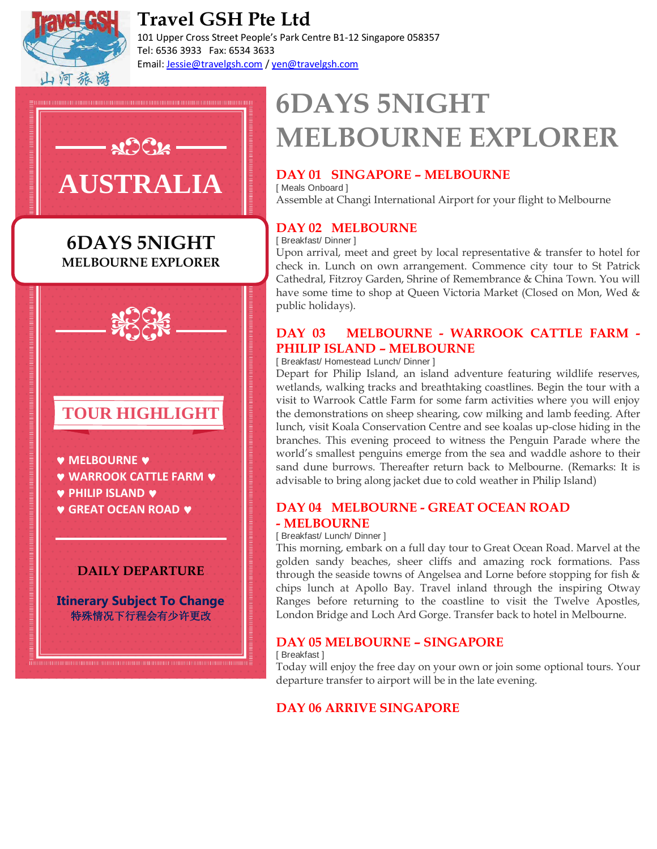

## **Travel GSH Pte Ltd**

101 Upper Cross Street People's Park Centre B1-12 Singapore 058357 Tel: 6536 3933 Fax: 6534 3633 Email: Jessie@travelgsh.com / yen@travelgsh.com

# $AC2$ **AUSTRALIA**

## **CERTIFICATE 6DAYS 5NIGHT MELBOURNE EXPLORER**



## **DAILY DEPARTURE**

**Itinerary Subject To Change** 特殊情况下行程会有少许更改

## **6DAYS 5NIGHT MELBOURNE EXPLORER**

## **DAY 01 SINGAPORE – MELBOURNE**

[ Meals Onboard ] Assemble at Changi International Airport for your flight to Melbourne

## **DAY 02 MELBOURNE**

[ Breakfast/ Dinner ]

Upon arrival, meet and greet by local representative & transfer to hotel for check in. Lunch on own arrangement. Commence city tour to St Patrick Cathedral, Fitzroy Garden, Shrine of Remembrance & China Town. You will have some time to shop at Queen Victoria Market (Closed on Mon, Wed & public holidays).

## **DAY 03 MELBOURNE - WARROOK CATTLE FARM - PHILIP ISLAND – MELBOURNE**

[ Breakfast/ Homestead Lunch/ Dinner ]

Depart for Philip Island, an island adventure featuring wildlife reserves, wetlands, walking tracks and breathtaking coastlines. Begin the tour with a visit to Warrook Cattle Farm for some farm activities where you will enjoy the demonstrations on sheep shearing, cow milking and lamb feeding. After lunch, visit Koala Conservation Centre and see koalas up-close hiding in the branches. This evening proceed to witness the Penguin Parade where the world's smallest penguins emerge from the sea and waddle ashore to their sand dune burrows. Thereafter return back to Melbourne. (Remarks: It is advisable to bring along jacket due to cold weather in Philip Island)

### **DAY 04 MELBOURNE - GREAT OCEAN ROAD - MELBOURNE**

#### [ Breakfast/ Lunch/ Dinner ]

This morning, embark on a full day tour to Great Ocean Road. Marvel at the golden sandy beaches, sheer cliffs and amazing rock formations. Pass through the seaside towns of Angelsea and Lorne before stopping for fish & chips lunch at Apollo Bay. Travel inland through the inspiring Otway Ranges before returning to the coastline to visit the Twelve Apostles, London Bridge and Loch Ard Gorge. Transfer back to hotel in Melbourne.

### **DAY 05 MELBOURNE – SINGAPORE**

[ Breakfast ]

Today will enjoy the free day on your own or join some optional tours. Your departure transfer to airport will be in the late evening.

## **DAY 06 ARRIVE SINGAPORE**